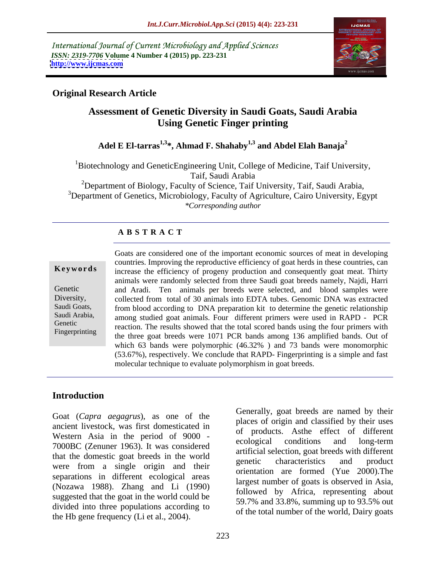International Journal of Current Microbiology and Applied Sciences *ISSN: 2319-7706* **Volume 4 Number 4 (2015) pp. 223-231 <http://www.ijcmas.com>**



## **Original Research Article**

# **Assessment of Genetic Diversity in Saudi Goats, Saudi Arabia Using Genetic Finger printing**

# **Adel E El-tarras1,3\*, Ahmad F. Shahaby1,3 and Abdel Elah Banaja<sup>2</sup>**

1Biotechnology and GeneticEngineering Unit, College of Medicine, Taif University, Taif, Saudi Arabia

<sup>2</sup>Department of Biology, Faculty of Science, Taif University, Taif, Saudi Arabia,  $3$ Department of Genetics, Microbiology, Faculty of Agriculture, Cairo University, Egypt *\*Corresponding author*

### **A B S T R A C T**

Fingerprinting

Goats are considered one of the important economic sources of meat in developing countries. Improving the reproductive efficiency of goat herds in these countries, can **Keywords** increase the efficiency of progeny production and consequently goat meat. Thirty animals were randomly selected from three Saudi goat breeds namely, Najdi, Harri and Aradi. Ten animals per breeds were selected, and blood samples were Genetic Diversity, collected from total of 30 animals into EDTA tubes. Genomic DNA was extracted Saudi Goats, from blood according to DNA preparation kit to determine the genetic relationship Saudi Arabia, among studied goat animals. Four different primers were used in RAPD - PCR Genetic<br>
Financial reaction. The results showed that the total scored bands using the four primers with the three goat breeds were 1071 PCR bands among 136 amplified bands. Out of which 63 bands were polymorphic (46.32%) and 73 bands were monomorphic (53.67%), respectively. We conclude that RAPD- Fingerprinting is a simple and fast molecular technique to evaluate polymorphism in goat breeds.

## **Introduction**

Goat (*Capra aegagrus*), as one of the ancient livestock, was first domesticated in Western Asia in the period of 9000 - This is a conditioner and long-term 7000BC (Zenuner 1963). It was considered that the domestic goat breeds in the world<br>genetic characteristics and product were from a single origin and their separations in different ecological areas (Nozawa 1988). Zhang and Li (1990) suggested that the goat in the world could be divided into three populations according to the Hb gene frequency (Li et al., 2004).

Generally, goat breeds are named by their places of origin and classified by their uses of products. Asthe effect of different ecological conditions and long-term artificial selection, goat breeds with different genetic characteristics and product orientation are formed (Yue 2000).The largest number of goats is observed in Asia, followed by Africa, representing about 59.7% and 33.8%, summing up to 93.5% out of the total number of the world, Dairy goats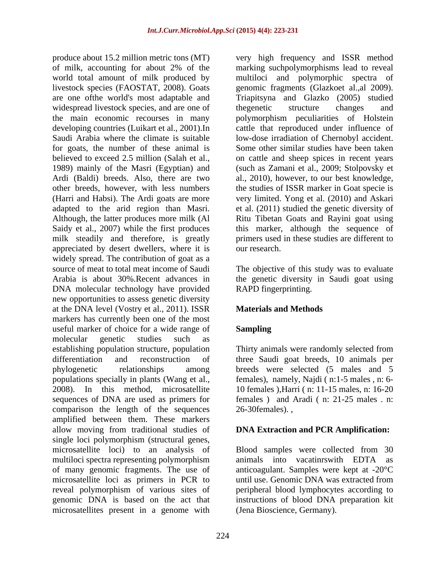of milk, accounting for about 2% of the marking suchpolymorphisms lead to reveal world total amount of milk produced by livestock species (FAOSTAT, 2008). Goats genomic fragments (Glazkoet al.,al 2009). are one ofthe world's most adaptable and Triapitsyna and Glazko (2005) studied widespread livestock species, and are one of the genetic structure changes and the main economic recourses in many polymorphism peculiarities of Holstein developing countries (Luikart et al., 2001).In cattle that reproduced under influence of Saudi Arabia where the climate is suitable low-dose irradiation of Chernobyl accident. for goats, the number of these animal is Some other similar studies have been taken believed to exceed 2.5 million (Salah et al., on cattle and sheep spices in recent years 1989) mainly of the Masri (Egyptian) and (such as Zamani et al., 2009; Stolpovsky et Ardi (Baldi) breeds. Also, there are two al., 2010), however, to our best knowledge, other breeds, however, with less numbers the studies of ISSR marker in Goat specie is (Harri and Habsi). The Ardi goats are more very limited. Yong et al. (2010) and Askari adapted to the arid region than Masri. et al. (2011) studied the genetic diversity of Although, the latter produces more milk (Al Ritu Tibetan Goats and Rayini goat using Saidy et al., 2007) while the first produces this marker, although the sequence of milk steadily and therefore, is greatly primers used in these studies are different to appreciated by desert dwellers, where it is widely spread. The contribution of goat as a source of meat to total meat income of Saudi The objective of this study was to evaluate Arabia is about 30%.Recent advances in the genetic diversity in Saudi goat using DNA molecular technology have provided new opportunities to assess genetic diversity at the DNA level (Vostry et al., 2011). ISSR markers has currently been one of the most useful marker of choice for a wide range of **Sampling** molecular genetic studies such as establishing population structure, population Thirty animals were randomly selected from differentiation and reconstruction of three Saudi goat breeds, 10 animals per phylogenetic relationships among breeds were selected (5 males and 5 populations specially in plants (Wang et al., 2008). In this method, microsatellite 10 females ),Harri ( n: 11-15 males, n: 16-20 sequences of DNA are used as primers for females ) and Aradi ( n: 21-25 males . n: comparison the length of the sequences amplified between them. These markers allow moving from traditional studies of single loci polymorphism (structural genes, microsatellite loci) to an analysis of Blood samples were collected from 30 multiloci spectra representing polymorphism animals into vacating example. EDTA as of many genomic fragments. The use of microsatellite loci as primers in PCR to reveal polymorphism of various sites of peripheral blood lymphocytes according to genomic DNA is based on the act that instructions of blood DNA preparation kit microsatellites present in a genome with

produce about 15.2 million metric tons (MT) very high frequency and ISSR method multiloci and polymorphic spectra of thegenetic structure changes and our research.

RAPD fingerprinting.

# **Materials and Methods**

### **Sampling**

females), namely, Najdi ( n:1-5 males , n: 6- 26-30females). ,

### **DNA Extraction and PCR Amplification:**

animals into vacatinrswith EDTA anticoagulant. Samples were kept at -20°C until use. Genomic DNA was extracted from (Jena Bioscience, Germany).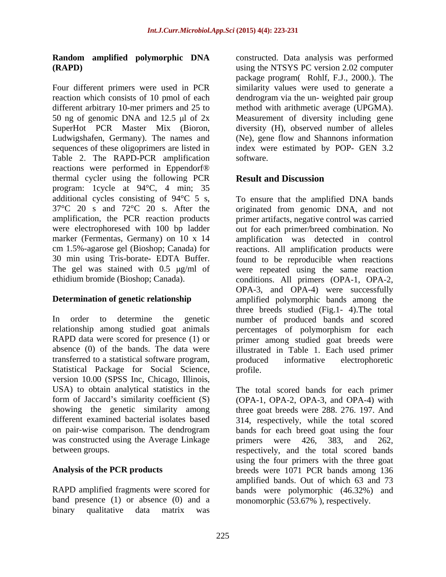Four different primers were used in PCR similarity values were used to generate a reaction which consists of 10 pmol of each dendrogram via the un- weighted pair group different arbitrary 10-mer primers and 25 to 50 ng of genomic DNA and 12.5  $\mu$ l of 2x Measurement of diversity including gene SuperHot PCR Master Mix (Bioron, diversity (H), observed number of alleles Ludwigshafen, Germany). The names and sequences of these oligoprimers are listed in index were estimated by POP- GEN 3.2 Table 2. The RAPD-PCR amplification software. reactions were performed in Eppendorf® thermal cycler using the following PCR program: 1cycle at 94°C, 4 min; 35 additional cycles consisting of 94°C 5 s,

In order to determine the genetic number of produced bands and scored relationship among studied goat animals percentages of polymorphism for each RAPD data were scored for presence (1) or primer among studied goat breeds were absence (0) of the bands. The data were illustrated in Table 1. Each used primer transferred to a statistical software program, Statistical Package for Social Science, profile. version 10.00 (SPSS Inc, Chicago, Illinois, USA) to obtain analytical statistics in the The total scored bands for each primer form of Jaccard's similarity coefficient (S) (OPA-1, OPA-2, OPA-3, and OPA-4) with showing the genetic similarity among three goat breeds were 288. 276. 197. And different examined bacterial isolates based 314, respectively, while the total scored on pair-wise comparison. The dendrogram bands for each breed goat using the four was constructed using the Average Linkage primers were 426, 383, and 262,

binary qualitative data matrix was

**Random amplified polymorphic DNA** constructed. Data analysis was performed **(RAPD)** using the NTSYS PC version 2.02 computer package program( Rohlf, F.J., 2000.). The method with arithmetic average (UPGMA). (Ne), gene flow and Shannons information software.

# **Result and Discussion**

37°C 20 s and 72°C 20 s. After the originated from genomic DNA, and not amplification, the PCR reaction products primer artifacts, negative control was carried were electrophoresed with 100 bp ladder out for each primer/breed combination. No marker (Fermentas, Germany) on 10 x 14 amplification was detected in control cm 1.5%-agarose gel (Bioshop; Canada) for reactions. All amplification products were 30 min using Tris-borate- EDTA Buffer. found to be reproducible when reactions The gel was stained with 0.5  $\mu$ g/ml of were repeated using the same reaction ethidium bromide (Bioshop; Canada). conditions. All primers (OPA-1, OPA-2, **Determination of genetic relationship**  amplified polymorphic bands among the To ensure that the amplified DNA bands OPA-3, and OPA-4) were successfully three breeds studied (Fig.1- 4).The total produced informative electrophoretic profile.

between groups. respectively, and the total scored bands **Analysis of the PCR products** breeds were 1071 PCR bands among 136 RAPD amplified fragments were scored for bands were polymorphic (46.32%) and band presence (1) or absence (0) and a monomorphic (53.67% ), respectively.primers were 426, 383, and 262, using the four primers with the three goat amplified bands. Out of which 63 and 73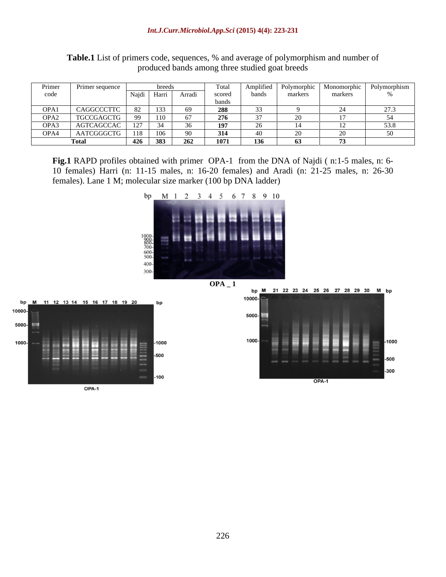|      | Primer sequence   |                     |                    |  |       |         |         |  |
|------|-------------------|---------------------|--------------------|--|-------|---------|---------|--|
|      |                   | $\overline{\cdots}$ | Najdi Harri Arradi |  | bands | markers | markers |  |
|      |                   |                     |                    |  |       |         |         |  |
| OPA1 | <b>CAGGCCCT</b>   |                     |                    |  |       |         |         |  |
| OPA2 | <b>TGCCGAGCTG</b> |                     |                    |  |       |         |         |  |
| OPA3 | AGTCAGCCAC        |                     |                    |  |       |         |         |  |
| OPA4 | AATCGGGCTG        |                     |                    |  |       |         |         |  |
|      |                   | - 426               | -383 L             |  |       |         |         |  |

**Table.1** List of primers code, sequences, % and average of polymorphism and number of produced bands among three studied goat breeds

**Fig.1** RAPD profiles obtained with primer OPA-1 from the DNA of Najdi ( n:1-5 males, n: 6- 10 females) Harri (n: 11-15 males, n: 16-20 females) and Aradi (n: 21-25 males, n: 26-30 females). Lane 1 M; molecular size marker (100 bp DNA ladder)





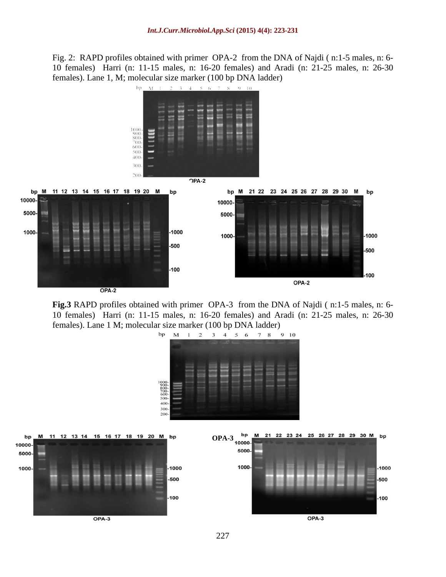Fig. 2: RAPD profiles obtained with primer OPA-2 from the DNA of Najdi ( n:1-5 males, n: 6- 10 females) Harri (n: 11-15 males, n: 16-20 females) and Aradi (n: 21-25 males, n: 26-30 females). Lane 1, M; molecular size marker (100 bp DNA ladder)



**Fig.3** RAPD profiles obtained with primer OPA-3 from the DNA of Najdi ( n:1-5 males, n: 6- 10 females) Harri (n: 11-15 males, n: 16-20 females) and Aradi (n: 21-25 males, n: 26-30 females). Lane 1 M; molecular size marker (100 bp DNA ladder)

7 8 9 10

M 1 2 3 4 5 6



bp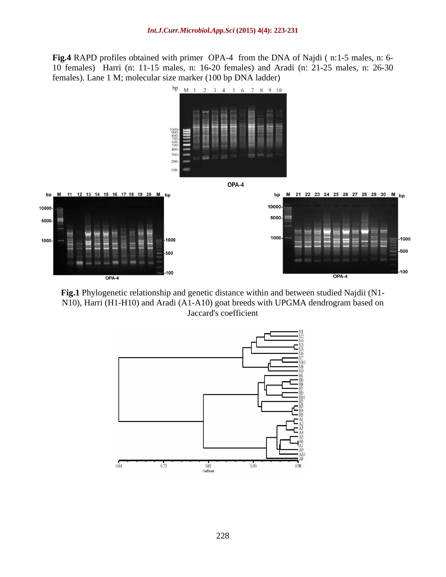**Fig.4** RAPD profiles obtained with primer OPA-4 from the DNA of Najdi ( n:1-5 males, n: 6- 10 females) Harri (n: 11-15 males, n: 16-20 females) and Aradi (n: 21-25 males, n: 26-30 females). Lane 1 M; molecular size marker (100 bp DNA ladder)



**Fig.1** Phylogenetic relationship and genetic distance within and between studied Najdii (N1- N10), Harri (H1-H10) and Aradi (A1-A10) goat breeds with UPGMA dendrogram based on Jaccard's coefficient

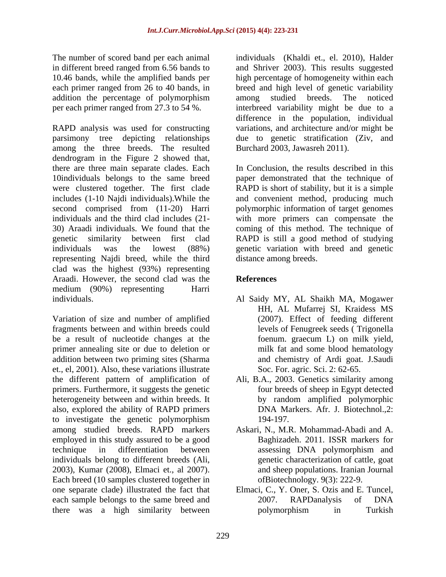addition the percentage of polymorphism among studied breeds. The noticed

RAPD analysis was used for constructing parsimony tree depicting relationships due to genetic stratification (Ziv, and among the three breeds. The resulted dendrogram in the Figure 2 showed that, there are three main separate clades. Each 10individuals belongs to the same breed paper demonstrated that the technique of were clustered together. The first clade includes (1-10 Najdi individuals).While the second comprised from (11-20) Harri polymorphic information of target genomes individuals and the third clad includes (21- 30) Araadi individuals. We found that the coming of this method. The technique of genetic similarity between first clad RAPD is still a good method of studying individuals was the lowest (88%) genetic variation with breed and genetic representing Najdi breed, while the third clad was the highest (93%) representing Araadi. However, the second clad was the medium (90%) representing Harri individuals. Al Saidy MY, AL Shaikh MA, Mogawer

Variation of size and number of amplified fragments between and within breeds could be a result of nucleotide changes at the foenum graecum L on milk yield, primer annealing site or due to deletion or addition between two priming sites (Sharma et., el, 2001). Also, these variations illustrate the different pattern of amplification of Ali, B.A., 2003. Genetics similarity among primers. Furthermore, it suggests the genetic heterogeneity between and within breeds. It by random amplified polymorphic also, explored the ability of RAPD primers to investigate the genetic polymorphism among studied breeds. RAPD markers Askari, N., M.R. Mohammad-Abadi and A. employed in this study assured to be a good technique in differentiation between assessing DNA polymorphism and individuals belong to different breeds (Ali, 2003), Kumar (2008), Elmaci et., al 2007). Each breed (10 samples clustered together in one separate clade) illustrated the fact that Elmaci, C., Y. Oner, S. Ozis and E. Tuncel, each sample belongs to the same breed and 2007. RAPDanalysis of DNA there was a high similarity between

The number of scored band per each animal individuals (Khaldi et., el. 2010), Halder in different breed ranged from 6.56 bands to and Shriver 2003). This results suggested 10.46 bands, while the amplified bands per high percentage of homogeneity within each each primer ranged from 26 to 40 bands, in breed and high level of genetic variability per each primer ranged from 27.3 to 54 %. interbreed variability might be due to a among studied breeds. The noticed difference in the population, individual variations, and architecture and/or might be Burchard 2003, Jawasreh 2011).

> In Conclusion, the results described in this RAPD is short of stability, but it is a simple and convenient method, producing much with more primers can compensate the distance among breeds.

# **References**

- HH, AL Mufarrej SI, Kraidess MS (2007). Effect of feeding different levels of Fenugreek seeds ( Trigonella foenum. graecum L) on milk yield, milk fat and some blood hematology and chemistry of Ardi goat. J.Saudi Soc. For. agric. Sci. 2: 62-65.
- four breeds of sheep in Egypt detected by random amplified polymorphic DNA Markers. Afr. J. Biotechnol.,2: 194-197.
- Baghizadeh. 2011. ISSR markers for assessing DNA polymorphism and genetic characterization of cattle, goat and sheep populations. Iranian Journal ofBiotechnology. 9(3): 222-9.
- 2007. RAPDanalysis of DNA polymorphism in Turkish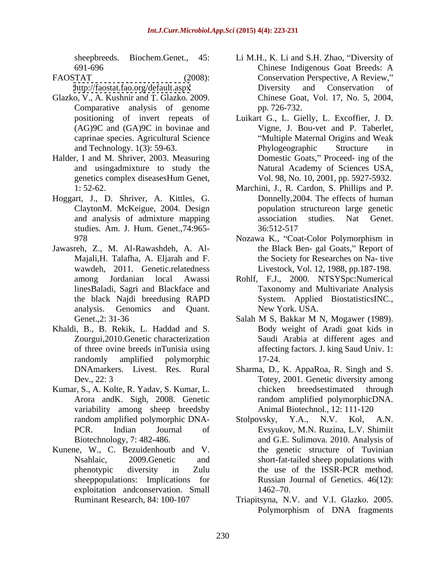- Glazko, V., A. Kushnir and T. Glazko. 2009. Comparative analysis of genome pp. 726-732. and Technology. 1(3): 59-63. Phylogeographic Structure
- genetics complex diseasesHum Genet, Vol. 98, No. 10, 2001, pp. 5927-5932.
- Hoggart, J., D. Shriver, A. Kittles, G. studies. Am. J. Hum. Genet.,74:965-
- Jawasreh, Z., M. Al-Rawashdeh, A. Al wawdeh, 2011. Genetic.relatedness
- Khaldi, B., B. Rekik, L. Haddad and S.
- variability among sheep breedsby
- Kunene, W., C. Bezuidenhoutb and V. sheeppopulations: Implications for exploitation andconservation. Small
- sheepbreeds. Biochem.Genet., 45: Li M.H., K. Li and S.H. Zhao, "Diversity of 691-696 Chinese Indigenous Goat Breeds: A FAOSTAT (2008): Conservation Perspective, A Review," <http://faostat.fao.org/default.aspx> Diversity and Conservation of Chinese Goat, Vol. 17, No. 5, 2004, pp. 726-732.
- positioning of invert repeats of Luikart G., L. Gielly, L. Excoffier, J. D. (AG)9C and (GA)9C in bovinae and Vigne, J. Bou-vet and P. Taberlet, caprinae species. Agricultural Science Multiple Maternal Origins and Weak Halder, I and M. Shriver, 2003. Measuring Domestic Goats," Proceed- ing of the and usingadmixture to study the Natural Academy of Sciences USA, Phylogeographic Structure in
	- 1: 52-62. Marchini, J., R. Cardon, S. Phillips and P. ClaytonM. McKeigue, 2004. Design population structureon large genetic and analysis of admixture mapping Donnelly,2004. The effects of human association studies. Nat Genet. 36:512-517
	- 978 Mozawa K., "Coat-Color Polymorphism in Majali, H. Talafha, A. Eljarah and F. the Society for Researches on Na- tive the Black Ben- gal Goats," Report of Livestock, Vol. 12, 1988, pp.187-198.
	- among Jordanian local Awassi Rohlf, F.J., 2000. NTSYSpc:Numerical linesBaladi, Sagri and Blackface and Taxonomy and Multivariate Analysis the black Najdi breedusing RAPD analysis. Genomics and Quant. System. Applied BiostatisticsINC., New York. USA.
	- Genet., 2: 31-36 Salah M S, Bakkar M N, Mogawer (1989). Zourgui,2010.Genetic characterization Saudi Arabia at different ages and of three ovine breeds inTunisia using affecting factors. J. king Saud Univ. 1: randomly amplified polymorphic Salah M S, Bakkar M N, Mogawer (1989). Body weight of Aradi goat kids in 17-24.
- DNAmarkers. Livest. Res. Rural Sharma, D., K. AppaRoa, R. Singh and S. Dev., 22: 3 Totey, 2001. Genetic diversity among Kumar, S., A. Kolte, R. Yadav, S. Kumar, L. Arora andK. Sigh, 2008. Genetic random amplified polymorphicDNA. chicken breedsestimated through Animal Biotechnol., 12: 111-120
	- random amplified polymorphic DNA-<br>Stolpovsky, Y.A., N.V. Kol, A.N. PCR. Indian Journal of Evsyukov, M.N. Ruzina, L.V. Shimiit Biotechnology, 7: 482-486. and G.E. Sulimova. 2010. Analysis of Nsahlaic, 2009.Genetic and short-fat-tailed sheep populations with phenotypic diversity in Zulu the use of the ISSR-PCR method. Stolpovsky, Y.A., N.V. Kol, A.N. the genetic structure of Tuvinian the use of the ISSR-PCR method. Russian Journal of Genetics. 46(12): 1462–70.
	- Ruminant Research, 84: 100-107 Triapitsyna, N.V. and V.I. Glazko. 2005. Polymorphism of DNA fragments